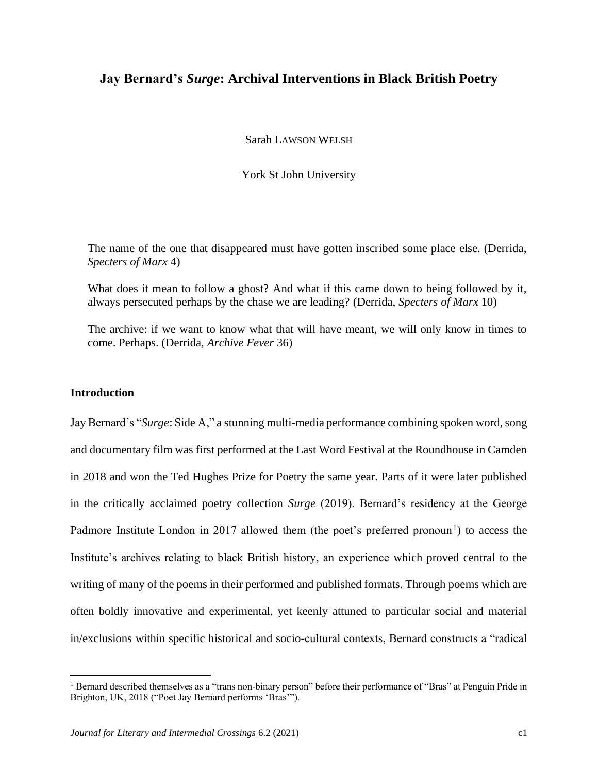# **Jay Bernard's** *Surge***: Archival Interventions in Black British Poetry**

Sarah LAWSON WELSH

York St John University

The name of the one that disappeared must have gotten inscribed some place else. (Derrida, *Specters of Marx* 4)

What does it mean to follow a ghost? And what if this came down to being followed by it, always persecuted perhaps by the chase we are leading? (Derrida, *Specters of Marx* 10)

The archive: if we want to know what that will have meant, we will only know in times to come. Perhaps. (Derrida, *Archive Fever* 36)

### **Introduction**

Jay Bernard's "*Surge*: Side A," a stunning multi-media performance combining spoken word, song and documentary film was first performed at the Last Word Festival at the Roundhouse in Camden in 2018 and won the Ted Hughes Prize for Poetry the same year. Parts of it were later published in the critically acclaimed poetry collection *Surge* (2019). Bernard's residency at the George Padmore Institute London in 2017 allowed them (the poet's preferred pronoun<sup>1</sup>) to access the Institute's archives relating to black British history, an experience which proved central to the writing of many of the poems in their performed and published formats. Through poems which are often boldly innovative and experimental, yet keenly attuned to particular social and material in/exclusions within specific historical and socio-cultural contexts, Bernard constructs a "radical

<sup>&</sup>lt;sup>1</sup> Bernard described themselves as a "trans non-binary person" before their performance of "Bras" at Penguin Pride in Brighton, UK, 2018 ("Poet Jay Bernard performs 'Bras'").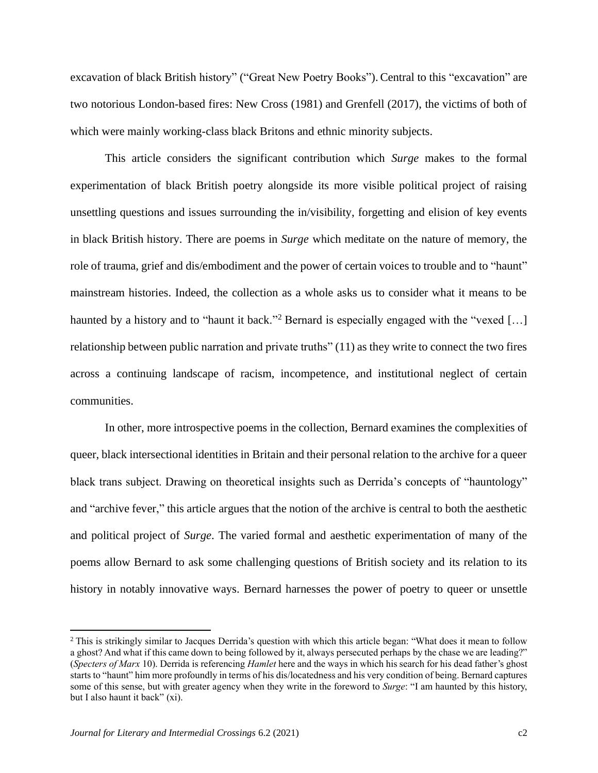excavation of black British history" ("Great New Poetry Books"). Central to this "excavation" are two notorious London-based fires: New Cross (1981) and Grenfell (2017), the victims of both of which were mainly working-class black Britons and ethnic minority subjects.

This article considers the significant contribution which *Surge* makes to the formal experimentation of black British poetry alongside its more visible political project of raising unsettling questions and issues surrounding the in/visibility, forgetting and elision of key events in black British history. There are poems in *Surge* which meditate on the nature of memory, the role of trauma, grief and dis/embodiment and the power of certain voices to trouble and to "haunt" mainstream histories. Indeed, the collection as a whole asks us to consider what it means to be haunted by a history and to "haunt it back."<sup>2</sup> Bernard is especially engaged with the "vexed [...] relationship between public narration and private truths" (11) as they write to connect the two fires across a continuing landscape of racism, incompetence, and institutional neglect of certain communities.

In other, more introspective poems in the collection, Bernard examines the complexities of queer, black intersectional identities in Britain and their personal relation to the archive for a queer black trans subject. Drawing on theoretical insights such as Derrida's concepts of "hauntology" and "archive fever," this article argues that the notion of the archive is central to both the aesthetic and political project of *Surge*. The varied formal and aesthetic experimentation of many of the poems allow Bernard to ask some challenging questions of British society and its relation to its history in notably innovative ways. Bernard harnesses the power of poetry to queer or unsettle

<sup>&</sup>lt;sup>2</sup> This is strikingly similar to Jacques Derrida's question with which this article began: "What does it mean to follow a ghost? And what if this came down to being followed by it, always persecuted perhaps by the chase we are leading?" (*Specters of Marx* 10). Derrida is referencing *Hamlet* here and the ways in which his search for his dead father's ghost starts to "haunt" him more profoundly in terms of his dis/locatedness and his very condition of being. Bernard captures some of this sense, but with greater agency when they write in the foreword to *Surge*: "I am haunted by this history, but I also haunt it back" (xi).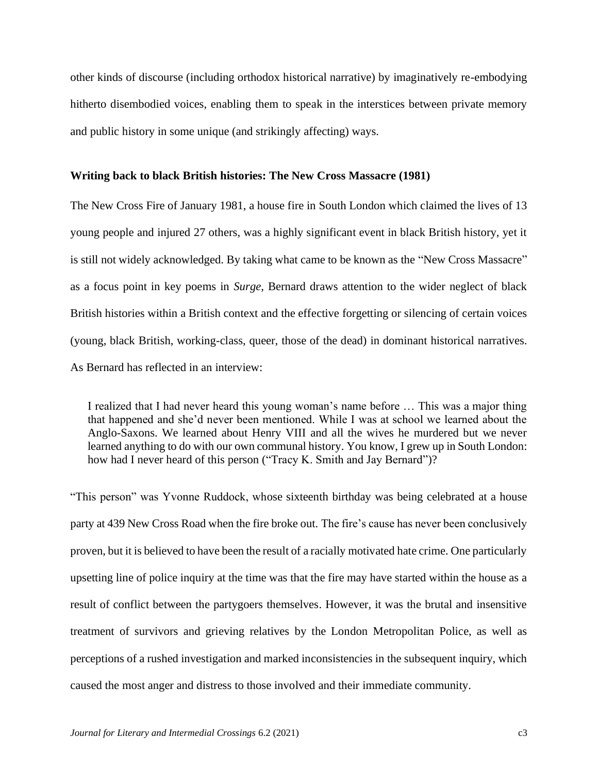other kinds of discourse (including orthodox historical narrative) by imaginatively re-embodying hitherto disembodied voices, enabling them to speak in the interstices between private memory and public history in some unique (and strikingly affecting) ways.

#### **Writing back to black British histories: The New Cross Massacre (1981)**

The New Cross Fire of January 1981, a house fire in South London which claimed the lives of 13 young people and injured 27 others, was a highly significant event in black British history, yet it is still not widely acknowledged. By taking what came to be known as the "New Cross Massacre" as a focus point in key poems in *Surge*, Bernard draws attention to the wider neglect of black British histories within a British context and the effective forgetting or silencing of certain voices (young, black British, working-class, queer, those of the dead) in dominant historical narratives. As Bernard has reflected in an interview:

I realized that I had never heard this young woman's name before … This was a major thing that happened and she'd never been mentioned. While I was at school we learned about the Anglo-Saxons. We learned about Henry VIII and all the wives he murdered but we never learned anything to do with our own communal history. You know, I grew up in South London: how had I never heard of this person ("Tracy K. Smith and Jay Bernard")?

"This person" was Yvonne Ruddock, whose sixteenth birthday was being celebrated at a house party at 439 New Cross Road when the fire broke out. The fire's cause has never been conclusively proven, but it is believed to have been the result of a racially motivated hate crime. One particularly upsetting line of police inquiry at the time was that the fire may have started within the house as a result of conflict between the partygoers themselves. However, it was the brutal and insensitive treatment of survivors and grieving relatives by the London Metropolitan Police, as well as perceptions of a rushed investigation and marked inconsistencies in the subsequent inquiry, which caused the most anger and distress to those involved and their immediate community.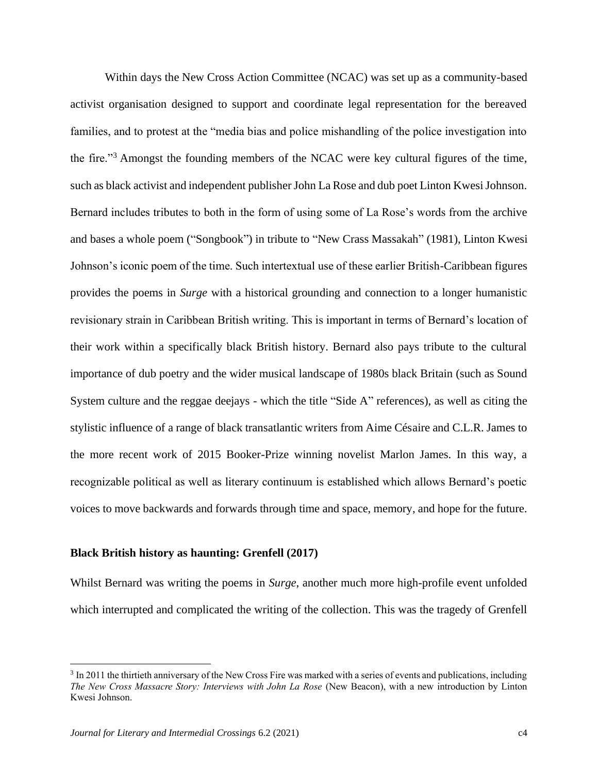Within days the New Cross Action Committee (NCAC) was set up as a community-based activist organisation designed to support and coordinate legal representation for the bereaved families, and to protest at the "media bias and police mishandling of the police investigation into the fire."<sup>3</sup> Amongst the founding members of the NCAC were key cultural figures of the time, such as black activist and independent publisher John La Rose and dub poet Linton Kwesi Johnson. Bernard includes tributes to both in the form of using some of La Rose's words from the archive and bases a whole poem ("Songbook") in tribute to "New Crass Massakah" (1981), Linton Kwesi Johnson's iconic poem of the time. Such intertextual use of these earlier British-Caribbean figures provides the poems in *Surge* with a historical grounding and connection to a longer humanistic revisionary strain in Caribbean British writing. This is important in terms of Bernard's location of their work within a specifically black British history. Bernard also pays tribute to the cultural importance of dub poetry and the wider musical landscape of 1980s black Britain (such as Sound System culture and the reggae deejays - which the title "Side A" references), as well as citing the stylistic influence of a range of black transatlantic writers from Aime Césaire and C.L.R. James to the more recent work of 2015 Booker-Prize winning novelist Marlon James. In this way, a recognizable political as well as literary continuum is established which allows Bernard's poetic voices to move backwards and forwards through time and space, memory, and hope for the future.

#### **Black British history as haunting: Grenfell (2017)**

Whilst Bernard was writing the poems in *Surge*, another much more high-profile event unfolded which interrupted and complicated the writing of the collection. This was the tragedy of Grenfell

<sup>&</sup>lt;sup>3</sup> In 2011 the thirtieth anniversary of the New Cross Fire was marked with a series of events and publications, including *The New Cross Massacre Story: Interviews with John La Rose* (New Beacon), with a new introduction by Linton Kwesi Johnson.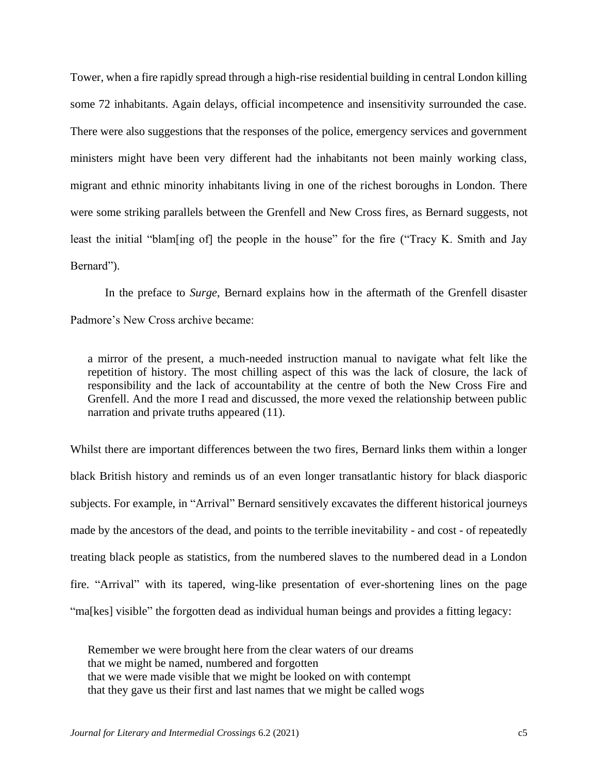Tower, when a fire rapidly spread through a high-rise residential building in central London killing some 72 inhabitants. Again delays, official incompetence and insensitivity surrounded the case. There were also suggestions that the responses of the police, emergency services and government ministers might have been very different had the inhabitants not been mainly working class, migrant and ethnic minority inhabitants living in one of the richest boroughs in London. There were some striking parallels between the Grenfell and New Cross fires, as Bernard suggests, not least the initial "blam[ing of] the people in the house" for the fire ("Tracy K. Smith and Jay Bernard").

In the preface to *Surge,* Bernard explains how in the aftermath of the Grenfell disaster Padmore's New Cross archive became:

a mirror of the present, a much-needed instruction manual to navigate what felt like the repetition of history. The most chilling aspect of this was the lack of closure, the lack of responsibility and the lack of accountability at the centre of both the New Cross Fire and Grenfell. And the more I read and discussed, the more vexed the relationship between public narration and private truths appeared (11).

Whilst there are important differences between the two fires, Bernard links them within a longer black British history and reminds us of an even longer transatlantic history for black diasporic subjects. For example, in "Arrival" Bernard sensitively excavates the different historical journeys made by the ancestors of the dead, and points to the terrible inevitability - and cost - of repeatedly treating black people as statistics, from the numbered slaves to the numbered dead in a London fire. "Arrival" with its tapered, wing-like presentation of ever-shortening lines on the page "ma[kes] visible" the forgotten dead as individual human beings and provides a fitting legacy:

Remember we were brought here from the clear waters of our dreams that we might be named, numbered and forgotten that we were made visible that we might be looked on with contempt that they gave us their first and last names that we might be called wogs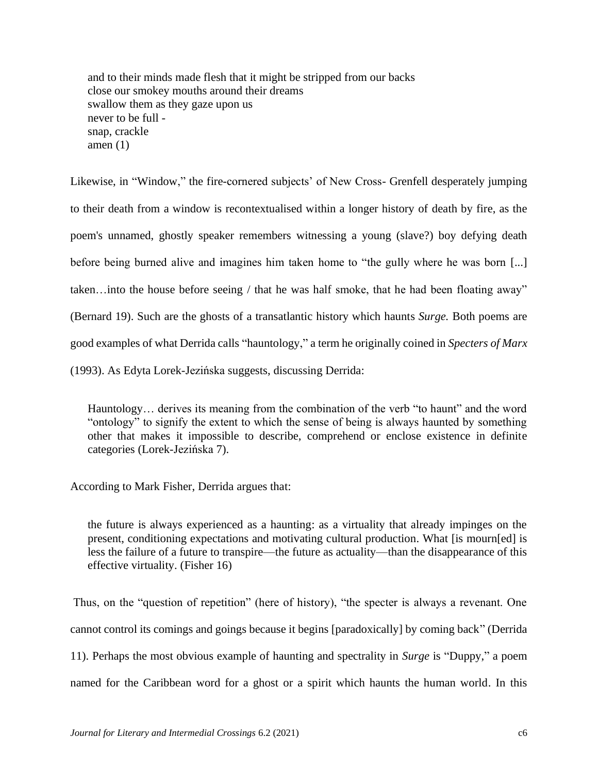and to their minds made flesh that it might be stripped from our backs close our smokey mouths around their dreams swallow them as they gaze upon us never to be full snap, crackle amen (1)

Likewise, in "Window," the fire-cornered subjects' of New Cross- Grenfell desperately jumping to their death from a window is recontextualised within a longer history of death by fire, as the poem's unnamed, ghostly speaker remembers witnessing a young (slave?) boy defying death before being burned alive and imagines him taken home to "the gully where he was born [...] taken…into the house before seeing / that he was half smoke, that he had been floating away" (Bernard 19). Such are the ghosts of a transatlantic history which haunts *Surge.* Both poems are good examples of what Derrida calls "hauntology," a term he originally coined in *Specters of Marx* (1993). As Edyta Lorek-Jezińska suggests, discussing Derrida:

Hauntology… derives its meaning from the combination of the verb "to haunt" and the word "ontology" to signify the extent to which the sense of being is always haunted by something other that makes it impossible to describe, comprehend or enclose existence in definite categories (Lorek-Jezińska 7).

According to Mark Fisher, Derrida argues that:

the future is always experienced as a haunting: as a virtuality that already impinges on the present, conditioning expectations and motivating cultural production. What [is mourn[ed] is less the failure of a future to transpire—the future as actuality—than the disappearance of this effective virtuality. (Fisher 16)

Thus, on the "question of repetition" (here of history), "the specter is always a revenant. One cannot control its comings and goings because it begins [paradoxically] by coming back" (Derrida 11). Perhaps the most obvious example of haunting and spectrality in *Surge* is "Duppy," a poem named for the Caribbean word for a ghost or a spirit which haunts the human world. In this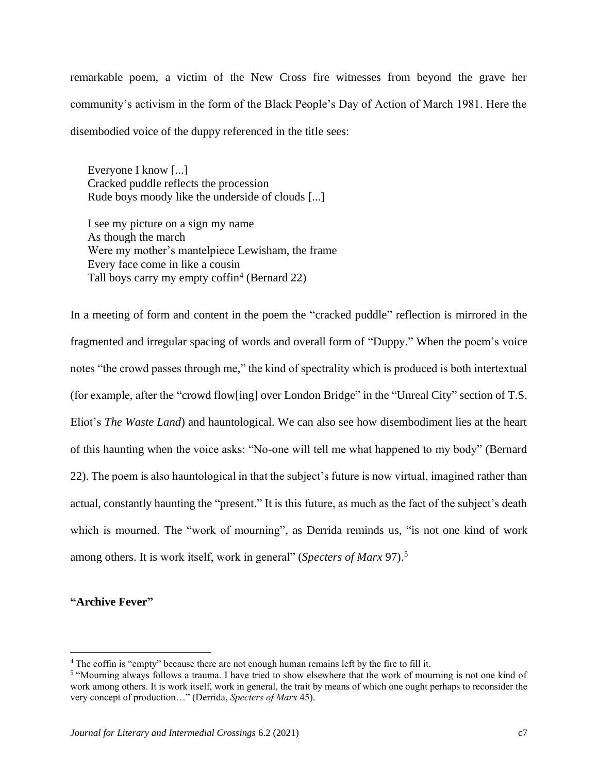remarkable poem, a victim of the New Cross fire witnesses from beyond the grave her community's activism in the form of the Black People's Day of Action of March 1981. Here the disembodied voice of the duppy referenced in the title sees:

Everyone I know [...] Cracked puddle reflects the procession Rude boys moody like the underside of clouds [...]

I see my picture on a sign my name As though the march Were my mother's mantelpiece Lewisham, the frame Every face come in like a cousin Tall boys carry my empty coffin<sup>4</sup> (Bernard 22)

In a meeting of form and content in the poem the "cracked puddle" reflection is mirrored in the fragmented and irregular spacing of words and overall form of "Duppy." When the poem's voice notes "the crowd passes through me," the kind of spectrality which is produced is both intertextual (for example, after the "crowd flow[ing] over London Bridge" in the "Unreal City" section of T.S. Eliot's *The Waste Land*) and hauntological. We can also see how disembodiment lies at the heart of this haunting when the voice asks: "No-one will tell me what happened to my body" (Bernard 22). The poem is also hauntological in that the subject's future is now virtual, imagined rather than actual, constantly haunting the "present." It is this future, as much as the fact of the subject's death which is mourned. The "work of mourning", as Derrida reminds us, "is not one kind of work among others. It is work itself, work in general" (*Specters of Marx* 97).<sup>5</sup>

**"Archive Fever"**

<sup>&</sup>lt;sup>4</sup> The coffin is "empty" because there are not enough human remains left by the fire to fill it.

<sup>&</sup>lt;sup>5</sup> "Mourning always follows a trauma. I have tried to show elsewhere that the work of mourning is not one kind of work among others. It is work itself, work in general, the trait by means of which one ought perhaps to reconsider the very concept of production…" (Derrida, *Specters of Marx* 45).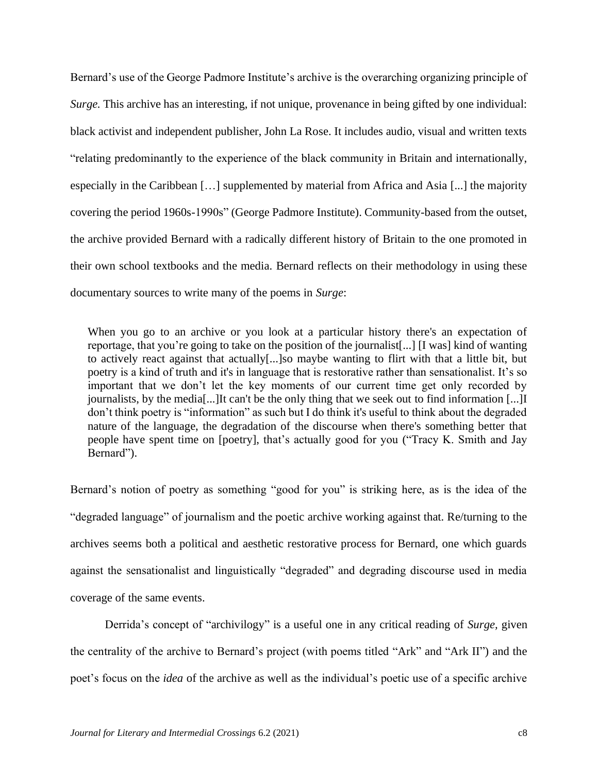Bernard's use of the George Padmore Institute's archive is the overarching organizing principle of *Surge.* This archive has an interesting, if not unique, provenance in being gifted by one individual: black activist and independent publisher, John La Rose. It includes audio, visual and written texts "relating predominantly to the experience of the black community in Britain and internationally, especially in the Caribbean […] supplemented by material from Africa and Asia [...] the majority covering the period 1960s-1990s" (George Padmore Institute). Community-based from the outset, the archive provided Bernard with a radically different history of Britain to the one promoted in their own school textbooks and the media. Bernard reflects on their methodology in using these documentary sources to write many of the poems in *Surge*:

When you go to an archive or you look at a particular history there's an expectation of reportage, that you're going to take on the position of the journalist[...] [I was] kind of wanting to actively react against that actually[...]so maybe wanting to flirt with that a little bit, but poetry is a kind of truth and it's in language that is restorative rather than sensationalist. It's so important that we don't let the key moments of our current time get only recorded by journalists, by the media[...]It can't be the only thing that we seek out to find information [...]I don't think poetry is "information" as such but I do think it's useful to think about the degraded nature of the language, the degradation of the discourse when there's something better that people have spent time on [poetry], that's actually good for you ("Tracy K. Smith and Jay Bernard").

Bernard's notion of poetry as something "good for you" is striking here, as is the idea of the "degraded language" of journalism and the poetic archive working against that. Re/turning to the archives seems both a political and aesthetic restorative process for Bernard, one which guards against the sensationalist and linguistically "degraded" and degrading discourse used in media coverage of the same events.

Derrida's concept of "archivilogy" is a useful one in any critical reading of *Surge,* given the centrality of the archive to Bernard's project (with poems titled "Ark" and "Ark II") and the poet's focus on the *idea* of the archive as well as the individual's poetic use of a specific archive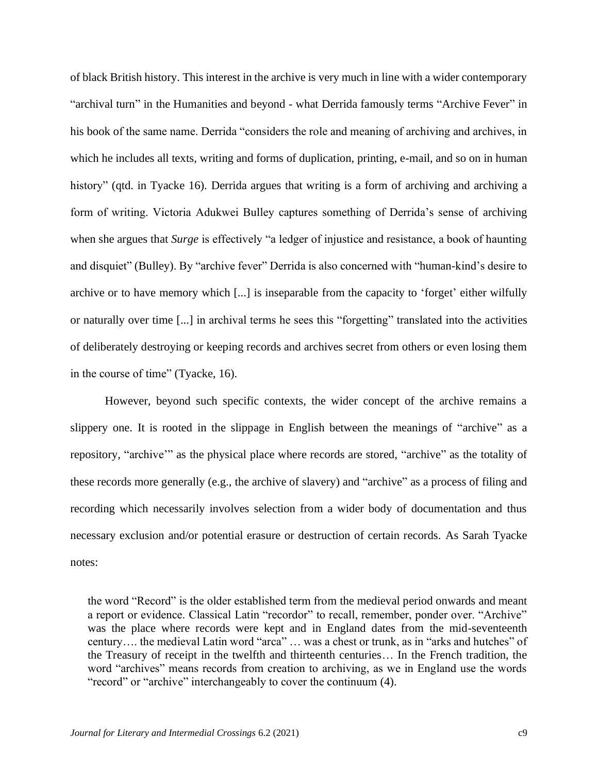of black British history. This interest in the archive is very much in line with a wider contemporary "archival turn" in the Humanities and beyond - what Derrida famously terms "Archive Fever" in his book of the same name. Derrida "considers the role and meaning of archiving and archives, in which he includes all texts, writing and forms of duplication, printing, e-mail, and so on in human history" (qtd. in Tyacke 16). Derrida argues that writing is a form of archiving and archiving a form of writing. Victoria Adukwei Bulley captures something of Derrida's sense of archiving when she argues that *Surge* is effectively "a ledger of injustice and resistance, a book of haunting and disquiet" (Bulley). By "archive fever" Derrida is also concerned with "human-kind's desire to archive or to have memory which [...] is inseparable from the capacity to 'forget' either wilfully or naturally over time [...] in archival terms he sees this "forgetting" translated into the activities of deliberately destroying or keeping records and archives secret from others or even losing them in the course of time" (Tyacke, 16).

However, beyond such specific contexts, the wider concept of the archive remains a slippery one. It is rooted in the slippage in English between the meanings of "archive" as a repository, "archive'" as the physical place where records are stored, "archive" as the totality of these records more generally (e.g., the archive of slavery) and "archive" as a process of filing and recording which necessarily involves selection from a wider body of documentation and thus necessary exclusion and/or potential erasure or destruction of certain records. As Sarah Tyacke notes:

the word "Record" is the older established term from the medieval period onwards and meant a report or evidence. Classical Latin "recordor" to recall, remember, ponder over. "Archive" was the place where records were kept and in England dates from the mid-seventeenth century…. the medieval Latin word "arca" … was a chest or trunk, as in "arks and hutches" of the Treasury of receipt in the twelfth and thirteenth centuries… In the French tradition, the word "archives" means records from creation to archiving, as we in England use the words "record" or "archive" interchangeably to cover the continuum (4).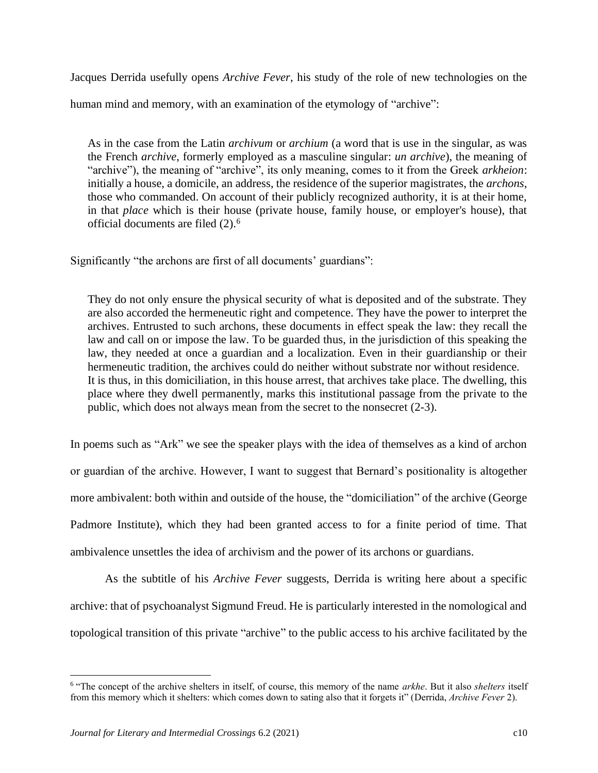Jacques Derrida usefully opens *Archive Fever*, his study of the role of new technologies on the human mind and memory, with an examination of the etymology of "archive":

As in the case from the Latin *archivum* or *archium* (a word that is use in the singular, as was the French *archive*, formerly employed as a masculine singular: *un archive*), the meaning of "archive"), the meaning of "archive", its only meaning, comes to it from the Greek *arkheion*: initially a house, a domicile, an address, the residence of the superior magistrates, the *archons*, those who commanded. On account of their publicly recognized authority, it is at their home, in that *place* which is their house (private house, family house, or employer's house), that official documents are filed (2). 6

Significantly "the archons are first of all documents' guardians":

They do not only ensure the physical security of what is deposited and of the substrate. They are also accorded the hermeneutic right and competence. They have the power to interpret the archives. Entrusted to such archons, these documents in effect speak the law: they recall the law and call on or impose the law. To be guarded thus, in the jurisdiction of this speaking the law, they needed at once a guardian and a localization. Even in their guardianship or their hermeneutic tradition, the archives could do neither without substrate nor without residence. It is thus, in this domiciliation, in this house arrest, that archives take place. The dwelling, this place where they dwell permanently, marks this institutional passage from the private to the public, which does not always mean from the secret to the nonsecret (2-3).

In poems such as "Ark" we see the speaker plays with the idea of themselves as a kind of archon or guardian of the archive. However, I want to suggest that Bernard's positionality is altogether more ambivalent: both within and outside of the house, the "domiciliation" of the archive (George Padmore Institute), which they had been granted access to for a finite period of time. That ambivalence unsettles the idea of archivism and the power of its archons or guardians.

As the subtitle of his *Archive Fever* suggests, Derrida is writing here about a specific archive: that of psychoanalyst Sigmund Freud. He is particularly interested in the nomological and topological transition of this private "archive" to the public access to his archive facilitated by the

<sup>6</sup> "The concept of the archive shelters in itself, of course, this memory of the name *arkhe*. But it also *shelters* itself from this memory which it shelters: which comes down to sating also that it forgets it" (Derrida, *Archive Fever* 2).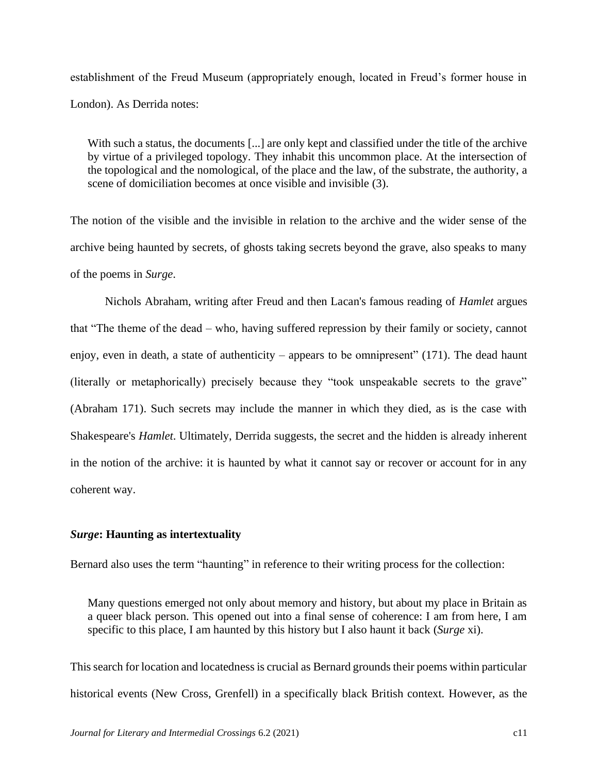establishment of the Freud Museum (appropriately enough, located in Freud's former house in London). As Derrida notes:

With such a status, the documents [...] are only kept and classified under the title of the archive by virtue of a privileged topology. They inhabit this uncommon place. At the intersection of the topological and the nomological, of the place and the law, of the substrate, the authority, a scene of domiciliation becomes at once visible and invisible (3).

The notion of the visible and the invisible in relation to the archive and the wider sense of the archive being haunted by secrets, of ghosts taking secrets beyond the grave, also speaks to many of the poems in *Surge*.

Nichols Abraham, writing after Freud and then Lacan's famous reading of *Hamlet* argues that "The theme of the dead – who, having suffered repression by their family or society, cannot enjoy, even in death, a state of authenticity – appears to be omnipresent"  $(171)$ . The dead haunt (literally or metaphorically) precisely because they "took unspeakable secrets to the grave" (Abraham 171). Such secrets may include the manner in which they died, as is the case with Shakespeare's *Hamlet*. Ultimately, Derrida suggests, the secret and the hidden is already inherent in the notion of the archive: it is haunted by what it cannot say or recover or account for in any coherent way.

### *Surge***: Haunting as intertextuality**

Bernard also uses the term "haunting" in reference to their writing process for the collection:

Many questions emerged not only about memory and history, but about my place in Britain as a queer black person. This opened out into a final sense of coherence: I am from here, I am specific to this place, I am haunted by this history but I also haunt it back (*Surge* xi).

This search for location and locatedness is crucial as Bernard grounds their poems within particular historical events (New Cross, Grenfell) in a specifically black British context. However, as the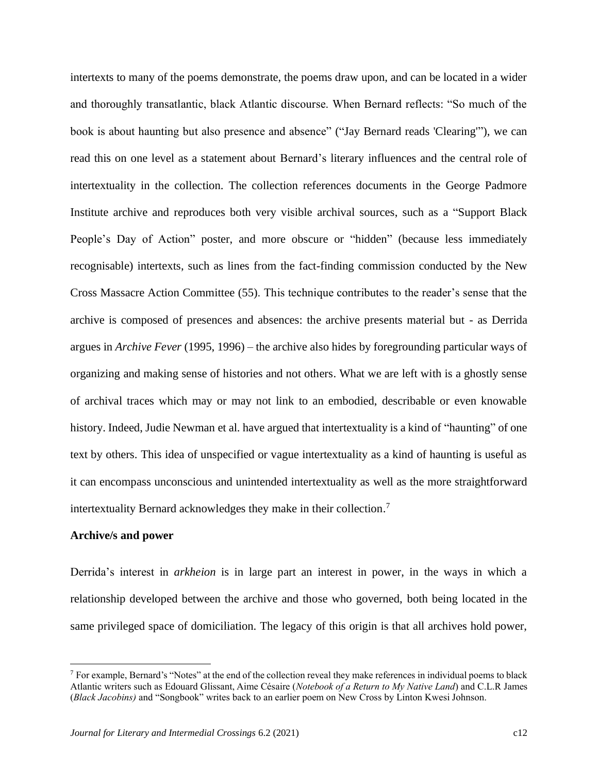intertexts to many of the poems demonstrate, the poems draw upon, and can be located in a wider and thoroughly transatlantic, black Atlantic discourse. When Bernard reflects: "So much of the book is about haunting but also presence and absence" ("Jay Bernard reads 'Clearing'"), we can read this on one level as a statement about Bernard's literary influences and the central role of intertextuality in the collection. The collection references documents in the George Padmore Institute archive and reproduces both very visible archival sources, such as a "Support Black People's Day of Action" poster, and more obscure or "hidden" (because less immediately recognisable) intertexts, such as lines from the fact-finding commission conducted by the New Cross Massacre Action Committee (55). This technique contributes to the reader's sense that the archive is composed of presences and absences: the archive presents material but - as Derrida argues in *Archive Fever* (1995, 1996) – the archive also hides by foregrounding particular ways of organizing and making sense of histories and not others. What we are left with is a ghostly sense of archival traces which may or may not link to an embodied, describable or even knowable history. Indeed, Judie Newman et al. have argued that intertextuality is a kind of "haunting" of one text by others. This idea of unspecified or vague intertextuality as a kind of haunting is useful as it can encompass unconscious and unintended intertextuality as well as the more straightforward intertextuality Bernard acknowledges they make in their collection. 7

#### **Archive/s and power**

Derrida's interest in *arkheion* is in large part an interest in power, in the ways in which a relationship developed between the archive and those who governed, both being located in the same privileged space of domiciliation. The legacy of this origin is that all archives hold power,

 $<sup>7</sup>$  For example, Bernard's "Notes" at the end of the collection reveal they make references in individual poems to black</sup> Atlantic writers such as Edouard Glissant, Aime Césaire (*Notebook of a Return to My Native Land*) and C.L.R James (*Black Jacobins)* and "Songbook" writes back to an earlier poem on New Cross by Linton Kwesi Johnson.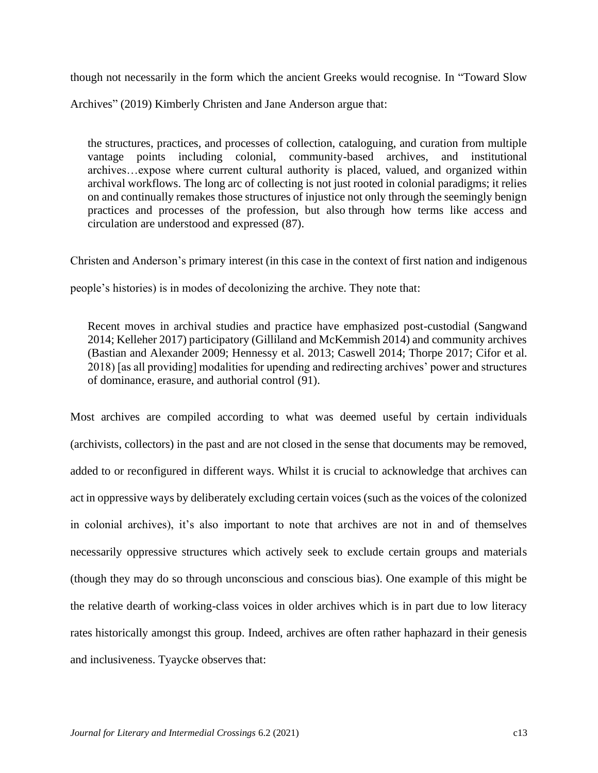though not necessarily in the form which the ancient Greeks would recognise. In "Toward Slow

Archives" (2019) Kimberly Christen and Jane Anderson argue that:

the structures, practices, and processes of collection, cataloguing, and curation from multiple vantage points including colonial, community-based archives, and institutional archives…expose where current cultural authority is placed, valued, and organized within archival workflows. The long arc of collecting is not just rooted in colonial paradigms; it relies on and continually remakes those structures of injustice not only through the seemingly benign practices and processes of the profession, but also through how terms like access and circulation are understood and expressed (87).

Christen and Anderson's primary interest (in this case in the context of first nation and indigenous

people's histories) is in modes of decolonizing the archive. They note that:

Recent moves in archival studies and practice have emphasized post-custodial (Sangwand 2014; Kelleher 2017) participatory (Gilliland and McKemmish 2014) and community archives (Bastian and Alexander 2009; Hennessy et al. 2013; Caswell 2014; Thorpe 2017; Cifor et al. 2018) [as all providing] modalities for upending and redirecting archives' power and structures of dominance, erasure, and authorial control (91).

Most archives are compiled according to what was deemed useful by certain individuals (archivists, collectors) in the past and are not closed in the sense that documents may be removed, added to or reconfigured in different ways. Whilst it is crucial to acknowledge that archives can act in oppressive ways by deliberately excluding certain voices (such as the voices of the colonized in colonial archives), it's also important to note that archives are not in and of themselves necessarily oppressive structures which actively seek to exclude certain groups and materials (though they may do so through unconscious and conscious bias). One example of this might be the relative dearth of working-class voices in older archives which is in part due to low literacy rates historically amongst this group. Indeed, archives are often rather haphazard in their genesis and inclusiveness. Tyaycke observes that: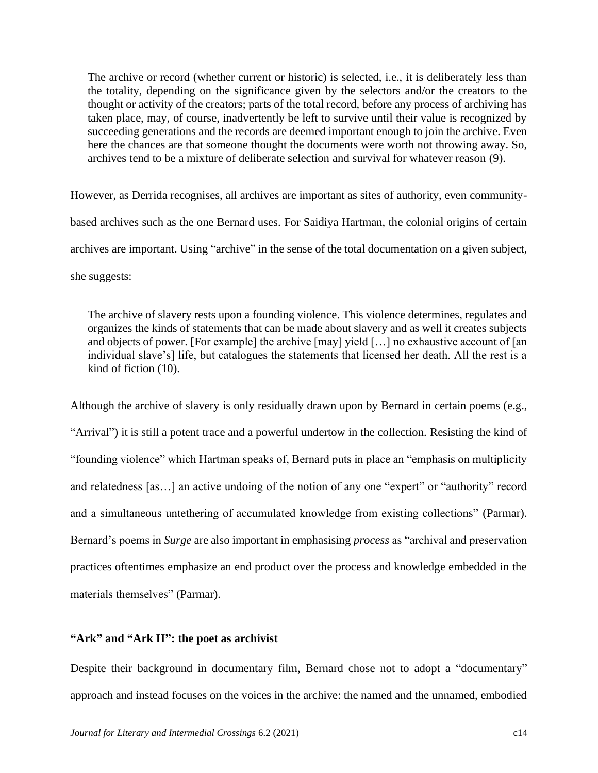The archive or record (whether current or historic) is selected, i.e., it is deliberately less than the totality, depending on the significance given by the selectors and/or the creators to the thought or activity of the creators; parts of the total record, before any process of archiving has taken place, may, of course, inadvertently be left to survive until their value is recognized by succeeding generations and the records are deemed important enough to join the archive. Even here the chances are that someone thought the documents were worth not throwing away. So, archives tend to be a mixture of deliberate selection and survival for whatever reason (9).

However, as Derrida recognises, all archives are important as sites of authority, even communitybased archives such as the one Bernard uses. For Saidiya Hartman, the colonial origins of certain archives are important. Using "archive" in the sense of the total documentation on a given subject, she suggests:

The archive of slavery rests upon a founding violence. This violence determines, regulates and organizes the kinds of statements that can be made about slavery and as well it creates subjects and objects of power. [For example] the archive [may] yield […] no exhaustive account of [an individual slave's] life, but catalogues the statements that licensed her death. All the rest is a kind of fiction (10).

Although the archive of slavery is only residually drawn upon by Bernard in certain poems (e.g., "Arrival") it is still a potent trace and a powerful undertow in the collection. Resisting the kind of "founding violence" which Hartman speaks of, Bernard puts in place an "emphasis on multiplicity and relatedness [as…] an active undoing of the notion of any one "expert" or "authority" record and a simultaneous untethering of accumulated knowledge from existing collections" (Parmar). Bernard's poems in *Surge* are also important in emphasising *process* as "archival and preservation practices oftentimes emphasize an end product over the process and knowledge embedded in the materials themselves" (Parmar).

# **"Ark" and "Ark II": the poet as archivist**

Despite their background in documentary film, Bernard chose not to adopt a "documentary" approach and instead focuses on the voices in the archive: the named and the unnamed, embodied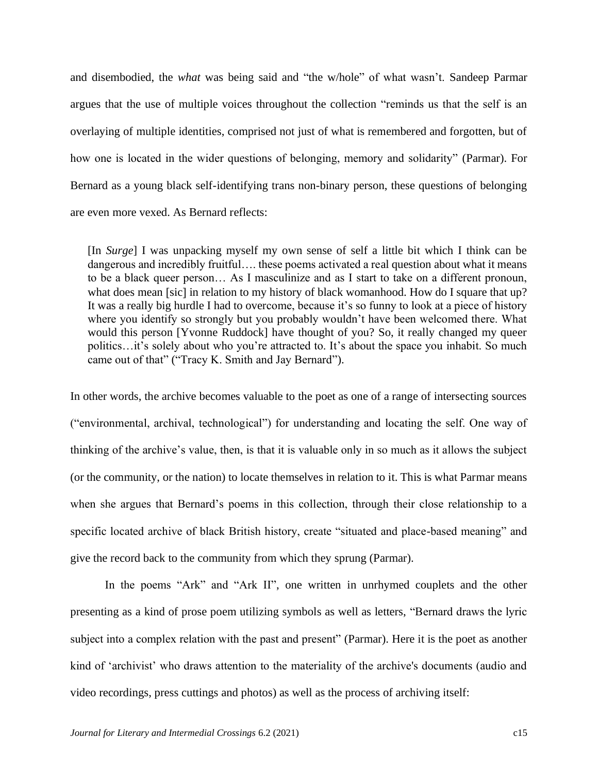and disembodied, the *what* was being said and "the w/hole" of what wasn't. Sandeep Parmar argues that the use of multiple voices throughout the collection "reminds us that the self is an overlaying of multiple identities, comprised not just of what is remembered and forgotten, but of how one is located in the wider questions of belonging, memory and solidarity" (Parmar). For Bernard as a young black self-identifying trans non-binary person, these questions of belonging are even more vexed. As Bernard reflects:

[In *Surge*] I was unpacking myself my own sense of self a little bit which I think can be dangerous and incredibly fruitful.... these poems activated a real question about what it means to be a black queer person… As I masculinize and as I start to take on a different pronoun, what does mean [sic] in relation to my history of black womanhood. How do I square that up? It was a really big hurdle I had to overcome, because it's so funny to look at a piece of history where you identify so strongly but you probably wouldn't have been welcomed there. What would this person [Yvonne Ruddock] have thought of you? So, it really changed my queer politics…it's solely about who you're attracted to. It's about the space you inhabit. So much came out of that" ("Tracy K. Smith and Jay Bernard").

In other words, the archive becomes valuable to the poet as one of a range of intersecting sources ("environmental, archival, technological") for understanding and locating the self. One way of thinking of the archive's value, then, is that it is valuable only in so much as it allows the subject (or the community, or the nation) to locate themselves in relation to it. This is what Parmar means when she argues that Bernard's poems in this collection, through their close relationship to a specific located archive of black British history, create "situated and place-based meaning" and give the record back to the community from which they sprung (Parmar).

In the poems "Ark" and "Ark II", one written in unrhymed couplets and the other presenting as a kind of prose poem utilizing symbols as well as letters, "Bernard draws the lyric subject into a complex relation with the past and present" (Parmar). Here it is the poet as another kind of 'archivist' who draws attention to the materiality of the archive's documents (audio and video recordings, press cuttings and photos) as well as the process of archiving itself: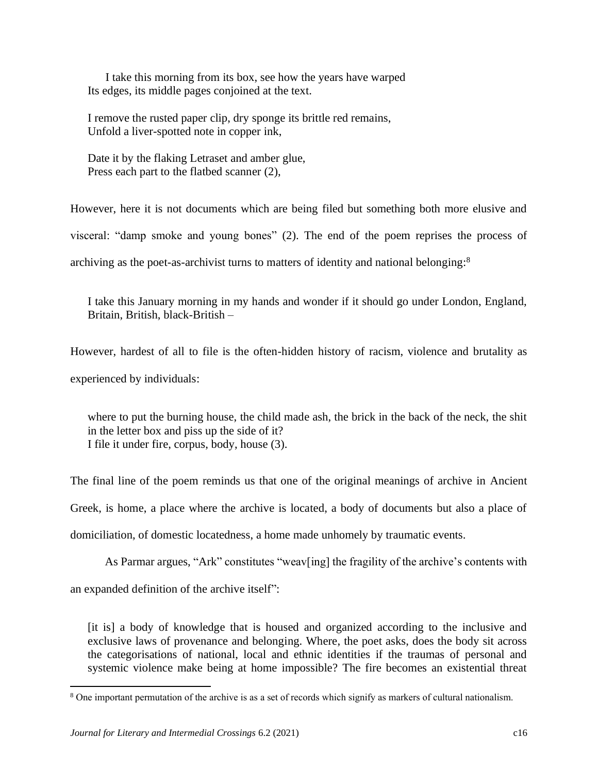I take this morning from its box, see how the years have warped Its edges, its middle pages conjoined at the text.

I remove the rusted paper clip, dry sponge its brittle red remains, Unfold a liver-spotted note in copper ink,

Date it by the flaking Letraset and amber glue, Press each part to the flatbed scanner  $(2)$ ,

However, here it is not documents which are being filed but something both more elusive and visceral: "damp smoke and young bones" (2). The end of the poem reprises the process of

archiving as the poet-as-archivist turns to matters of identity and national belonging:<sup>8</sup>

I take this January morning in my hands and wonder if it should go under London, England, Britain, British, black-British –

However, hardest of all to file is the often-hidden history of racism, violence and brutality as experienced by individuals:

where to put the burning house, the child made ash, the brick in the back of the neck, the shit in the letter box and piss up the side of it? I file it under fire, corpus, body, house (3).

The final line of the poem reminds us that one of the original meanings of archive in Ancient Greek, is home, a place where the archive is located, a body of documents but also a place of domiciliation, of domestic locatedness, a home made unhomely by traumatic events.

As Parmar argues, "Ark" constitutes "weav[ing] the fragility of the archive's contents with an expanded definition of the archive itself":

[it is] a body of knowledge that is housed and organized according to the inclusive and exclusive laws of provenance and belonging. Where, the poet asks, does the body sit across the categorisations of national, local and ethnic identities if the traumas of personal and systemic violence make being at home impossible? The fire becomes an existential threat

<sup>&</sup>lt;sup>8</sup> One important permutation of the archive is as a set of records which signify as markers of cultural nationalism.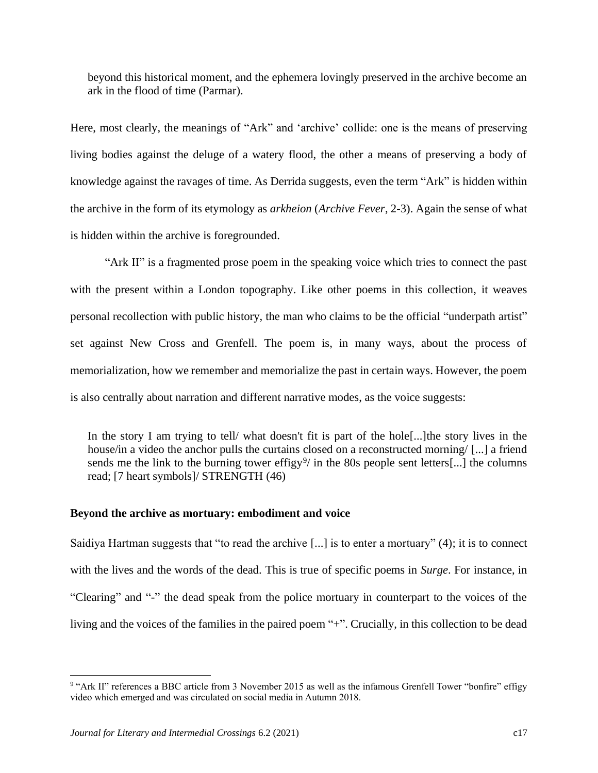beyond this historical moment, and the ephemera lovingly preserved in the archive become an ark in the flood of time (Parmar).

Here, most clearly, the meanings of "Ark" and 'archive' collide: one is the means of preserving living bodies against the deluge of a watery flood, the other a means of preserving a body of knowledge against the ravages of time. As Derrida suggests, even the term "Ark" is hidden within the archive in the form of its etymology as *arkheion* (*Archive Fever*, 2-3). Again the sense of what is hidden within the archive is foregrounded.

"Ark II" is a fragmented prose poem in the speaking voice which tries to connect the past with the present within a London topography. Like other poems in this collection, it weaves personal recollection with public history, the man who claims to be the official "underpath artist" set against New Cross and Grenfell. The poem is, in many ways, about the process of memorialization, how we remember and memorialize the past in certain ways. However, the poem is also centrally about narration and different narrative modes, as the voice suggests:

In the story I am trying to tell/ what doesn't fit is part of the hole[...]the story lives in the house/in a video the anchor pulls the curtains closed on a reconstructed morning/ [...] a friend sends me the link to the burning tower effigy<sup>9</sup>/ in the 80s people sent letters[...] the columns read; [7 heart symbols]/ STRENGTH (46)

## **Beyond the archive as mortuary: embodiment and voice**

Saidiya Hartman suggests that "to read the archive [...] is to enter a mortuary" (4); it is to connect with the lives and the words of the dead. This is true of specific poems in *Surge*. For instance, in "Clearing" and "-" the dead speak from the police mortuary in counterpart to the voices of the living and the voices of the families in the paired poem "+". Crucially, in this collection to be dead

<sup>&</sup>lt;sup>9</sup> "Ark II" references a BBC article from 3 November 2015 as well as the infamous Grenfell Tower "bonfire" effigy video which emerged and was circulated on social media in Autumn 2018.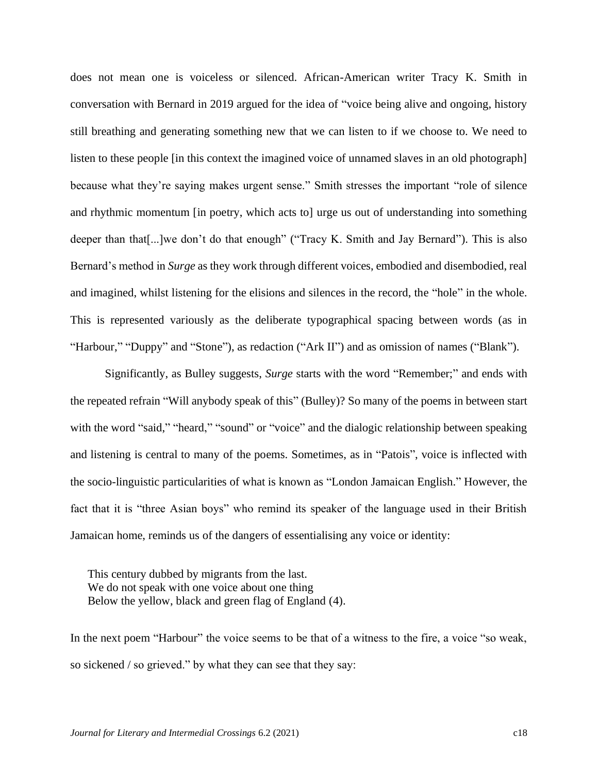does not mean one is voiceless or silenced. African-American writer Tracy K. Smith in conversation with Bernard in 2019 argued for the idea of "voice being alive and ongoing, history still breathing and generating something new that we can listen to if we choose to. We need to listen to these people [in this context the imagined voice of unnamed slaves in an old photograph] because what they're saying makes urgent sense." Smith stresses the important "role of silence and rhythmic momentum [in poetry, which acts to] urge us out of understanding into something deeper than that [...] we don't do that enough" ("Tracy K. Smith and Jay Bernard"). This is also Bernard's method in *Surge* as they work through different voices, embodied and disembodied, real and imagined, whilst listening for the elisions and silences in the record, the "hole" in the whole. This is represented variously as the deliberate typographical spacing between words (as in "Harbour," "Duppy" and "Stone"), as redaction ("Ark II") and as omission of names ("Blank").

Significantly, as Bulley suggests, *Surge* starts with the word "Remember;" and ends with the repeated refrain "Will anybody speak of this" (Bulley)? So many of the poems in between start with the word "said," "heard," "sound" or "voice" and the dialogic relationship between speaking and listening is central to many of the poems. Sometimes, as in "Patois", voice is inflected with the socio-linguistic particularities of what is known as "London Jamaican English." However, the fact that it is "three Asian boys" who remind its speaker of the language used in their British Jamaican home, reminds us of the dangers of essentialising any voice or identity:

This century dubbed by migrants from the last. We do not speak with one voice about one thing Below the yellow, black and green flag of England (4).

In the next poem "Harbour" the voice seems to be that of a witness to the fire, a voice "so weak, so sickened / so grieved." by what they can see that they say: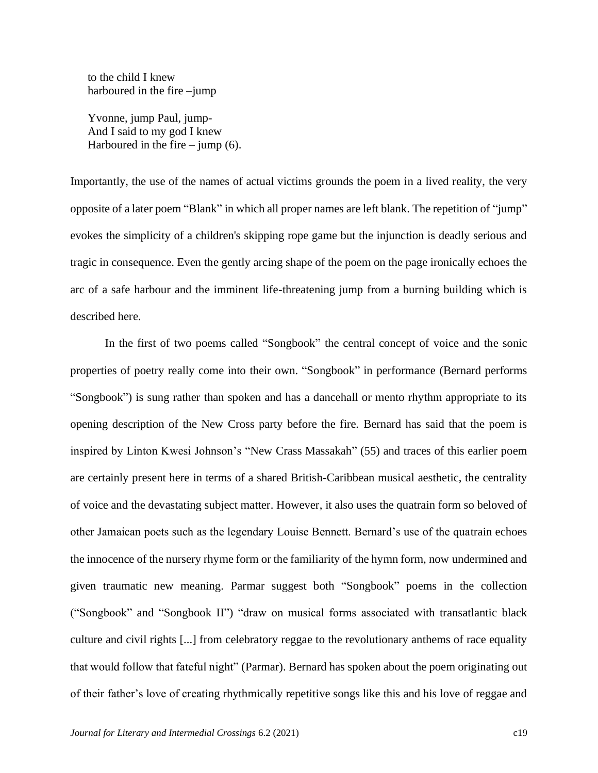to the child I knew harboured in the fire –jump

Yvonne, jump Paul, jump-And I said to my god I knew Harboured in the fire – jump  $(6)$ .

Importantly, the use of the names of actual victims grounds the poem in a lived reality, the very opposite of a later poem "Blank" in which all proper names are left blank. The repetition of "jump" evokes the simplicity of a children's skipping rope game but the injunction is deadly serious and tragic in consequence. Even the gently arcing shape of the poem on the page ironically echoes the arc of a safe harbour and the imminent life-threatening jump from a burning building which is described here.

In the first of two poems called "Songbook" the central concept of voice and the sonic properties of poetry really come into their own. "Songbook" in performance (Bernard performs "Songbook") is sung rather than spoken and has a dancehall or mento rhythm appropriate to its opening description of the New Cross party before the fire. Bernard has said that the poem is inspired by Linton Kwesi Johnson's "New Crass Massakah" (55) and traces of this earlier poem are certainly present here in terms of a shared British-Caribbean musical aesthetic, the centrality of voice and the devastating subject matter. However, it also uses the quatrain form so beloved of other Jamaican poets such as the legendary Louise Bennett. Bernard's use of the quatrain echoes the innocence of the nursery rhyme form or the familiarity of the hymn form, now undermined and given traumatic new meaning. Parmar suggest both "Songbook" poems in the collection ("Songbook" and "Songbook II") "draw on musical forms associated with transatlantic black culture and civil rights [...] from celebratory reggae to the revolutionary anthems of race equality that would follow that fateful night" (Parmar). Bernard has spoken about the poem originating out of their father's love of creating rhythmically repetitive songs like this and his love of reggae and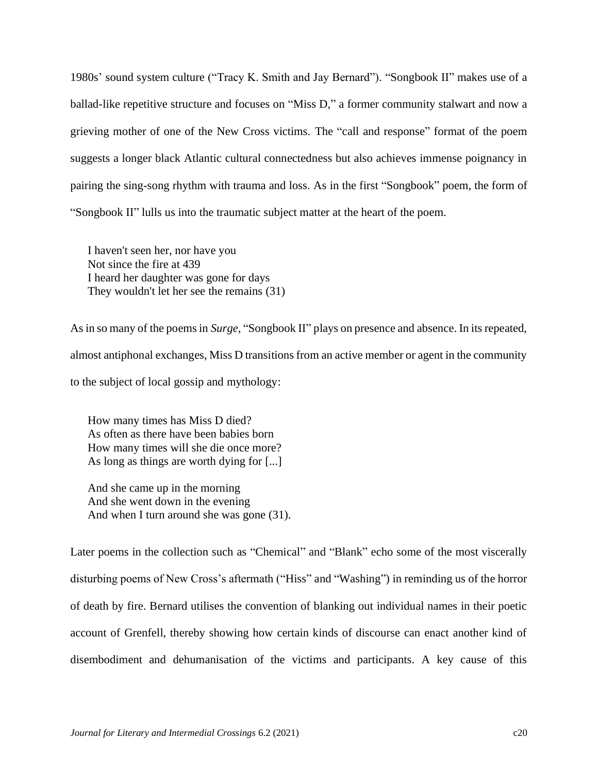1980s' sound system culture ("Tracy K. Smith and Jay Bernard"). "Songbook II" makes use of a ballad-like repetitive structure and focuses on "Miss D," a former community stalwart and now a grieving mother of one of the New Cross victims. The "call and response" format of the poem suggests a longer black Atlantic cultural connectedness but also achieves immense poignancy in pairing the sing-song rhythm with trauma and loss. As in the first "Songbook" poem, the form of "Songbook II" lulls us into the traumatic subject matter at the heart of the poem.

I haven't seen her, nor have you Not since the fire at 439 I heard her daughter was gone for days They wouldn't let her see the remains (31)

As in so many of the poems in *Surge,* "Songbook II" plays on presence and absence. In its repeated, almost antiphonal exchanges, Miss D transitions from an active member or agent in the community to the subject of local gossip and mythology:

How many times has Miss D died? As often as there have been babies born How many times will she die once more? As long as things are worth dying for [...]

And she came up in the morning And she went down in the evening And when I turn around she was gone (31).

Later poems in the collection such as "Chemical" and "Blank" echo some of the most viscerally disturbing poems of New Cross's aftermath ("Hiss" and "Washing") in reminding us of the horror of death by fire. Bernard utilises the convention of blanking out individual names in their poetic account of Grenfell, thereby showing how certain kinds of discourse can enact another kind of disembodiment and dehumanisation of the victims and participants. A key cause of this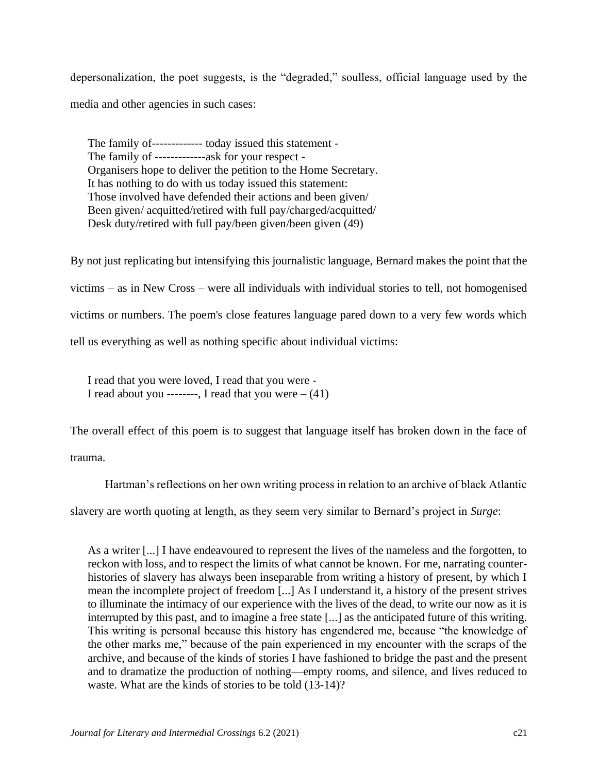depersonalization, the poet suggests, is the "degraded," soulless, official language used by the media and other agencies in such cases:

The family of------------- today issued this statement - The family of -------------ask for your respect - Organisers hope to deliver the petition to the Home Secretary. It has nothing to do with us today issued this statement: Those involved have defended their actions and been given/ Been given/ acquitted/retired with full pay/charged/acquitted/ Desk duty/retired with full pay/been given/been given (49)

By not just replicating but intensifying this journalistic language, Bernard makes the point that the victims – as in New Cross – were all individuals with individual stories to tell, not homogenised victims or numbers. The poem's close features language pared down to a very few words which tell us everything as well as nothing specific about individual victims:

I read that you were loved, I read that you were - I read about you -------, I read that you were  $-(41)$ 

The overall effect of this poem is to suggest that language itself has broken down in the face of

trauma.

Hartman's reflections on her own writing process in relation to an archive of black Atlantic

slavery are worth quoting at length, as they seem very similar to Bernard's project in *Surge*:

As a writer [...] I have endeavoured to represent the lives of the nameless and the forgotten, to reckon with loss, and to respect the limits of what cannot be known. For me, narrating counterhistories of slavery has always been inseparable from writing a history of present, by which I mean the incomplete project of freedom [...] As I understand it, a history of the present strives to illuminate the intimacy of our experience with the lives of the dead, to write our now as it is interrupted by this past, and to imagine a free state [...] as the anticipated future of this writing. This writing is personal because this history has engendered me, because "the knowledge of the other marks me," because of the pain experienced in my encounter with the scraps of the archive, and because of the kinds of stories I have fashioned to bridge the past and the present and to dramatize the production of nothing—empty rooms, and silence, and lives reduced to waste. What are the kinds of stories to be told (13-14)?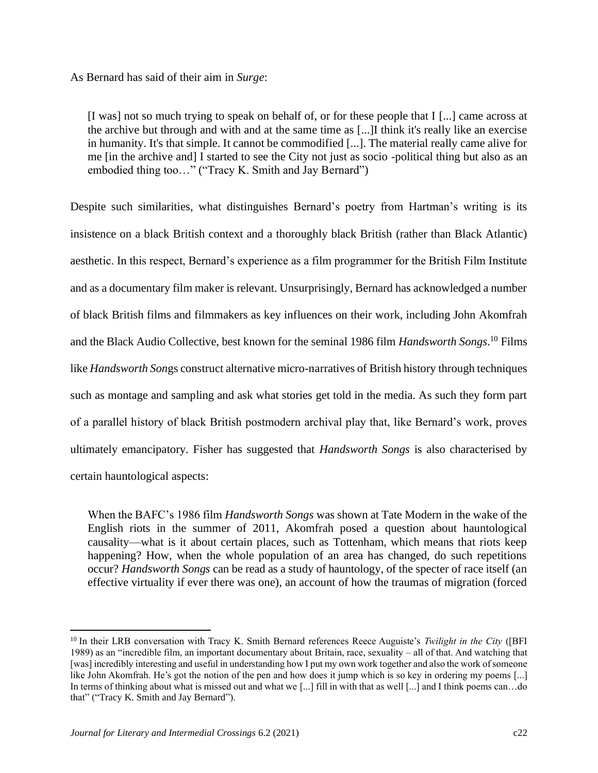As Bernard has said of their aim in *Surge*:

[I was] not so much trying to speak on behalf of, or for these people that I [...] came across at the archive but through and with and at the same time as [...]I think it's really like an exercise in humanity. It's that simple. It cannot be commodified [...]. The material really came alive for me [in the archive and] I started to see the City not just as socio -political thing but also as an embodied thing too..." ("Tracy K. Smith and Jay Bernard")

Despite such similarities, what distinguishes Bernard's poetry from Hartman's writing is its insistence on a black British context and a thoroughly black British (rather than Black Atlantic) aesthetic. In this respect, Bernard's experience as a film programmer for the British Film Institute and as a documentary film maker is relevant. Unsurprisingly, Bernard has acknowledged a number of black British films and filmmakers as key influences on their work, including John Akomfrah and the Black Audio Collective, best known for the seminal 1986 film *Handsworth Songs*. <sup>10</sup> Films like *Handsworth Son*gs construct alternative micro-narratives of British history through techniques such as montage and sampling and ask what stories get told in the media. As such they form part of a parallel history of black British postmodern archival play that, like Bernard's work, proves ultimately emancipatory. Fisher has suggested that *Handsworth Songs* is also characterised by certain hauntological aspects:

When the BAFC's 1986 film *Handsworth Songs* was shown at Tate Modern in the wake of the English riots in the summer of 2011, Akomfrah posed a question about hauntological causality—what is it about certain places, such as Tottenham, which means that riots keep happening? How, when the whole population of an area has changed, do such repetitions occur? *Handsworth Songs* can be read as a study of hauntology, of the specter of race itself (an effective virtuality if ever there was one), an account of how the traumas of migration (forced

<sup>10</sup> In their LRB conversation with Tracy K. Smith Bernard references Reece Auguiste's *Twilight in the City* ([BFI 1989) as an "incredible film, an important documentary about Britain, race, sexuality – all of that. And watching that [was] incredibly interesting and useful in understanding how I put my own work together and also the work of someone like John Akomfrah. He's got the notion of the pen and how does it jump which is so key in ordering my poems [...] In terms of thinking about what is missed out and what we [...] fill in with that as well [...] and I think poems can…do that" ("Tracy K. Smith and Jay Bernard").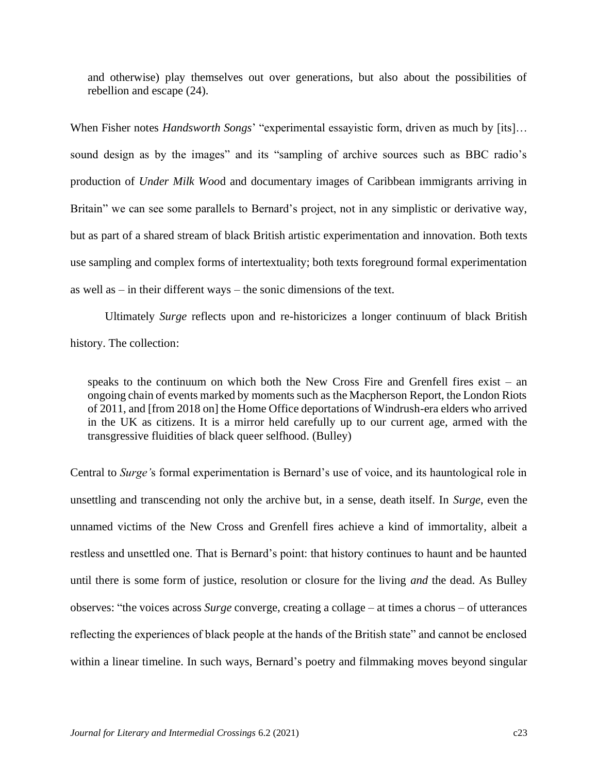and otherwise) play themselves out over generations, but also about the possibilities of rebellion and escape (24).

When Fisher notes *Handsworth Songs*' "experimental essayistic form, driven as much by [its]… sound design as by the images" and its "sampling of archive sources such as BBC radio's production of *Under Milk Woo*d and documentary images of Caribbean immigrants arriving in Britain" we can see some parallels to Bernard's project, not in any simplistic or derivative way, but as part of a shared stream of black British artistic experimentation and innovation. Both texts use sampling and complex forms of intertextuality; both texts foreground formal experimentation as well as – in their different ways – the sonic dimensions of the text.

Ultimately *Surge* reflects upon and re-historicizes a longer continuum of black British history. The collection:

speaks to the continuum on which both the New Cross Fire and Grenfell fires exist – an ongoing chain of events marked by moments such as the Macpherson Report, the London Riots of 2011, and [from 2018 on] the Home Office deportations of Windrush-era elders who arrived in the UK as citizens. It is a mirror held carefully up to our current age, armed with the transgressive fluidities of black queer selfhood. (Bulley)

Central to *Surge'*s formal experimentation is Bernard's use of voice, and its hauntological role in unsettling and transcending not only the archive but, in a sense, death itself. In *Surge*, even the unnamed victims of the New Cross and Grenfell fires achieve a kind of immortality, albeit a restless and unsettled one. That is Bernard's point: that history continues to haunt and be haunted until there is some form of justice, resolution or closure for the living *and* the dead. As Bulley observes: "the voices across *Surge* converge, creating a collage – at times a chorus – of utterances reflecting the experiences of black people at the hands of the British state" and cannot be enclosed within a linear timeline. In such ways, Bernard's poetry and filmmaking moves beyond singular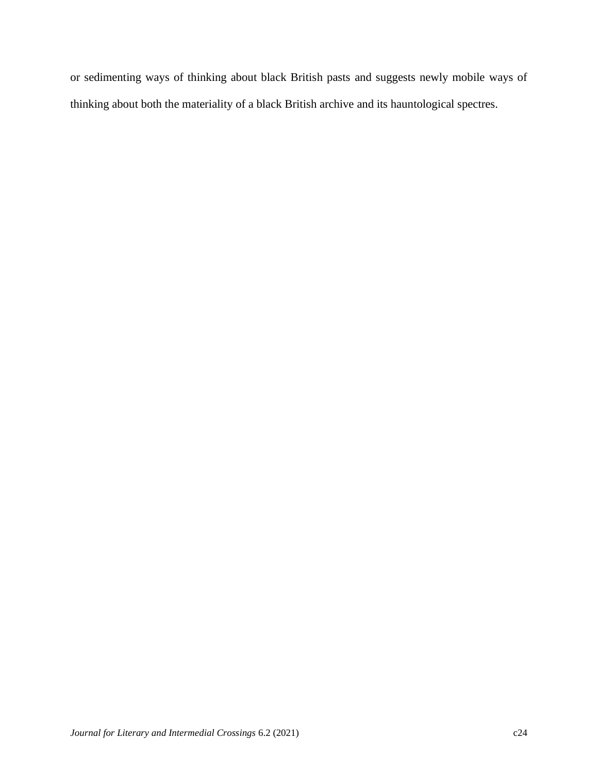or sedimenting ways of thinking about black British pasts and suggests newly mobile ways of thinking about both the materiality of a black British archive and its hauntological spectres.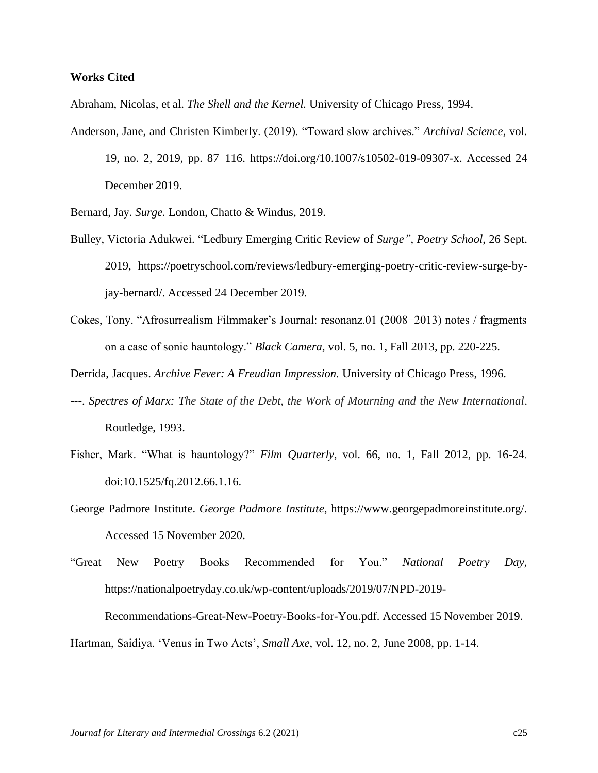#### **Works Cited**

Abraham, Nicolas, et al. *The Shell and the Kernel.* University of Chicago Press, 1994.

Anderson, Jane, and Christen Kimberly. (2019). "Toward slow archives." *Archival Science*, vol. 19, no. 2, 2019, pp. 87–116. https://doi.org/10.1007/s10502-019-09307-x. Accessed 24 December 2019.

Bernard, Jay. *Surge.* London, Chatto & Windus, 2019.

- Bulley, Victoria Adukwei. "Ledbury Emerging Critic Review of *Surge"*, *Poetry School*, 26 Sept. 2019, https://poetryschool.com/reviews/ledbury-emerging-poetry-critic-review-surge-byjay-bernard/. Accessed 24 December 2019.
- Cokes, Tony. "Afrosurrealism Filmmaker's Journal: resonanz.01 (2008−2013) notes / fragments on a case of sonic hauntology." *Black Camera,* vol. 5, no. 1, Fall 2013, pp. 220-225.

Derrida, Jacques. *Archive Fever: A Freudian Impression.* University of Chicago Press, 1996.

- ---. *Spectres of Marx: The State of the Debt, the Work of Mourning and the New International*. Routledge, 1993.
- Fisher, Mark. "What is hauntology?" *Film Quarterly*, vol. 66, no. 1, Fall 2012, pp. 16-24. doi:10.1525/fq.2012.66.1.16.
- George Padmore Institute. *George Padmore Institute*, https://www.georgepadmoreinstitute.org/. Accessed 15 November 2020.
- "Great New Poetry Books Recommended for You." *National Poetry Day*, https://nationalpoetryday.co.uk/wp-content/uploads/2019/07/NPD-2019-

Recommendations-Great-New-Poetry-Books-for-You.pdf. Accessed 15 November 2019.

Hartman, Saidiya. 'Venus in Two Acts', *Small Axe*, vol. 12, no. 2, June 2008, pp. 1-14.